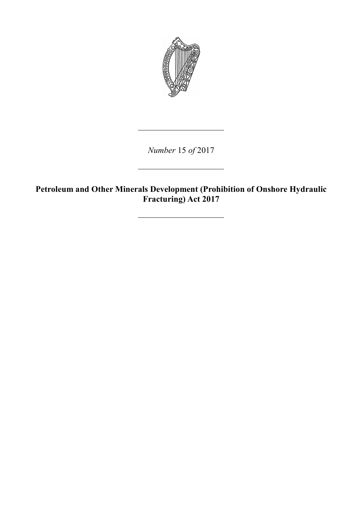

*Number* 15 *of* 2017

**Petroleum and Other Minerals Development (Prohibition of Onshore Hydraulic Fracturing) Act 2017**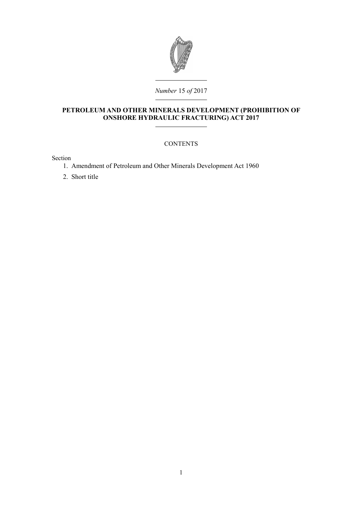

### **PETROLEUM AND OTHER MINERALS DEVELOPMENT (PROHIBITION OF ONSHORE HYDRAULIC FRACTURING) ACT 2017**

#### **CONTENTS**

Section

- 1. [Amendment of Petroleum and Other Minerals Development Act 1960](#page-4-0)
- 2. [Short title](#page-5-0)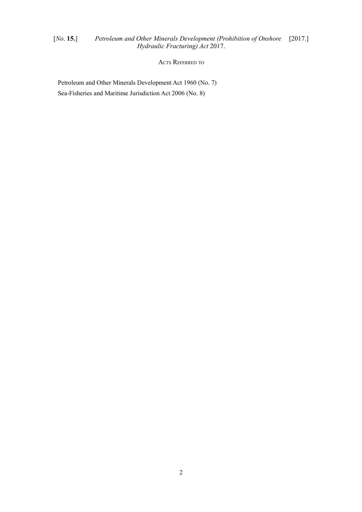# [*No*. **15.**] *Petroleum and Other Minerals Development (Prohibition of Onshore* [2017.] *Hydraulic Fracturing) Act* 2017.

ACTS REFERRED TO

Petroleum and Other Minerals Development Act 1960 (No. 7) Sea-Fisheries and Maritime Jurisdiction Act 2006 (No. 8)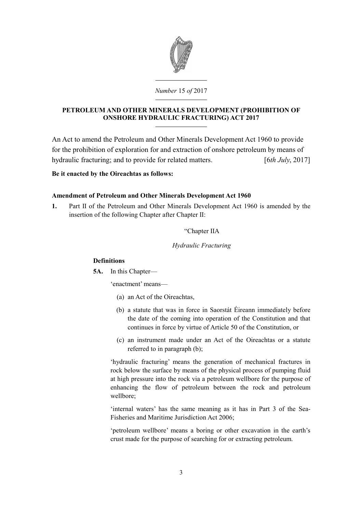

# **PETROLEUM AND OTHER MINERALS DEVELOPMENT (PROHIBITION OF ONSHORE HYDRAULIC FRACTURING) ACT 2017**

An Act to amend the [Petroleum and Other Minerals Development Act 1960](http://www.irishstatutebook.ie/1960/en/act/pub/0007/index.html) to provide for the prohibition of exploration for and extraction of onshore petroleum by means of hydraulic fracturing; and to provide for related matters. [6*th July*, 2017]

# **Be it enacted by the Oireachtas as follows:**

# <span id="page-4-0"></span>**Amendment of [Petroleum and Other Minerals Development Act 1960](http://www.irishstatutebook.ie/1960/en/act/pub/0007/index.html)**

**1.** Part II of the [Petroleum and Other Minerals Development Act 1960](http://www.irishstatutebook.ie/1960/en/act/pub/0007/index.html) is amended by the insertion of the following Chapter after Chapter II:

"Chapter IIA

*Hydraulic Fracturing*

# **Definitions**

**5A.** In this Chapter—

'enactment' means—

- (a) an Act of the Oireachtas,
- (b) a statute that was in force in Saorstát Éireann immediately before the date of the coming into operation of the Constitution and that continues in force by virtue of Article 50 of the Constitution, or
- (c) an instrument made under an Act of the Oireachtas or a statute referred to in paragraph (b);

'hydraulic fracturing' means the generation of mechanical fractures in rock below the surface by means of the physical process of pumping fluid at high pressure into the rock via a petroleum wellbore for the purpose of enhancing the flow of petroleum between the rock and petroleum wellbore;

'internal waters' has the same meaning as it has in Part 3 of the [Sea-](http://www.irishstatutebook.ie/2006/en/act/pub/0008/index.html)[Fisheries and Maritime Jurisdiction Act 2006;](http://www.irishstatutebook.ie/2006/en/act/pub/0008/index.html)

'petroleum wellbore' means a boring or other excavation in the earth's crust made for the purpose of searching for or extracting petroleum.